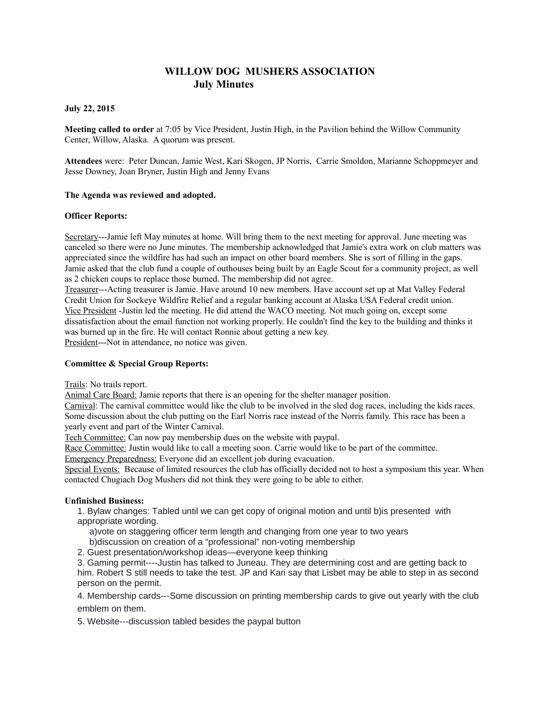# **WILLOW DOG MUSHERS ASSOCIATION July Minutes**

## **July 22, 2015**

**Meeting called to order** at 7:05 by Vice President, Justin High, in the Pavilion behind the Willow Community Center, Willow, Alaska. A quorum was present.

**Attendees** were: Peter Duncan, Jamie West, Kari Skogen, JP Norris, Carrie Smoldon, Marianne Schoppmeyer and Jesse Downey, Joan Bryner, Justin High and Jenny Evans

## **The Agenda was reviewed and adopted.**

## **Officer Reports:**

Secretary---Jamie left May minutes at home. Will bring them to the next meeting for approval. June meeting was canceled so there were no June minutes. The membership acknowledged that Jamie's extra work on club matters was appreciated since the wildfire has had such an impact on other board members. She is sort of filling in the gaps. Jamie asked that the club fund a couple of outhouses being built by an Eagle Scout for a community project, as well as 2 chicken coups to replace those burned. The membership did not agree.

Treasurer---Acting treasurer is Jamie. Have around 10 new members. Have account set up at Mat Valley Federal Credit Union for Sockeye Wildfire Relief and a regular banking account at Alaska USA Federal credit union. Vice President -Justin led the meeting. He did attend the WACO meeting. Not much going on, except some dissatisfaction about the email function not working properly. He couldn't find the key to the building and thinks it was burned up in the fire. He will contact Ronnie about getting a new key. President---Not in attendance, no notice was given.

## **Committee & Special Group Reports:**

Trails: No trails report.

Animal Care Board: Jamie reports that there is an opening for the shelter manager position.

Carnival: The carnival committee would like the club to be involved in the sled dog races, including the kids races. Some discussion about the club putting on the Earl Norris race instead of the Norris family. This race has been a yearly event and part of the Winter Carnival.

Tech Committee: Can now pay membership dues on the website with paypal.

Race Committee: Justin would like to call a meeting soon. Carrie would like to be part of the committee.

Emergency Preparedness: Everyone did an excellent job during evacuation.

Special Events: Because of limited resources the club has officially decided not to host a symposium this year. When contacted Chugiach Dog Mushers did not think they were going to be able to either.

# **Unfinished Business:**

1. Bylaw changes: Tabled until we can get copy of original motion and until b)is presented with appropriate wording.

a)vote on staggering officer term length and changing from one year to two years

b)discussion on creation of a "professional" non-voting membership

2. Guest presentation/workshop ideas—everyone keep thinking

3. Gaming permit----Justin has talked to Juneau. They are determining cost and are getting back to him. Robert S still needs to take the test. JP and Kari say that Lisbet may be able to step in as second person on the permit.

4. Membership cards---Some discussion on printing membership cards to give out yearly with the club emblem on them.

5. Website---discussion tabled besides the paypal button